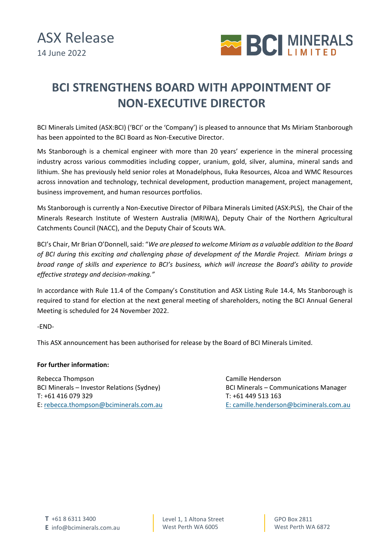

## **BCI STRENGTHENS BOARD WITH APPOINTMENT OF NON-EXECUTIVE DIRECTOR**

BCI Minerals Limited (ASX:BCI) ('BCI' or the 'Company') is pleased to announce that Ms Miriam Stanborough has been appointed to the BCI Board as Non-Executive Director.

Ms Stanborough is a chemical engineer with more than 20 years' experience in the mineral processing industry across various commodities including copper, uranium, gold, silver, alumina, mineral sands and lithium. She has previously held senior roles at Monadelphous, Iluka Resources, Alcoa and WMC Resources across innovation and technology, technical development, production management, project management, business improvement, and human resources portfolios.

Ms Stanborough is currently a Non-Executive Director of Pilbara Minerals Limited (ASX:PLS), the Chair of the Minerals Research Institute of Western Australia (MRIWA), Deputy Chair of the Northern Agricultural Catchments Council (NACC), and the Deputy Chair of Scouts WA.

BCI's Chair, Mr Brian O'Donnell, said: "*We are pleased to welcome Miriam as a valuable addition to the Board of BCI during this exciting and challenging phase of development of the Mardie Project. Miriam brings a broad range of skills and experience to BCI's business, which will increase the Board's ability to provide effective strategy and decision-making."*

In accordance with Rule 11.4 of the Company's Constitution and ASX Listing Rule 14.4, Ms Stanborough is required to stand for election at the next general meeting of shareholders, noting the BCI Annual General Meeting is scheduled for 24 November 2022.

-END-

This ASX announcement has been authorised for release by the Board of BCI Minerals Limited.

## **For further information:**

Rebecca Thompson Camille Henderson BCI Minerals – Investor Relations (Sydney) BCI Minerals – Communications Manager T: +61 416 079 329 T: +61 449 513 163 E[: rebecca.thompson@bciminerals.com.au](mailto:rebecca.thompson@bciminerals.com.au) E: camille.henderson@bciminerals.com.au